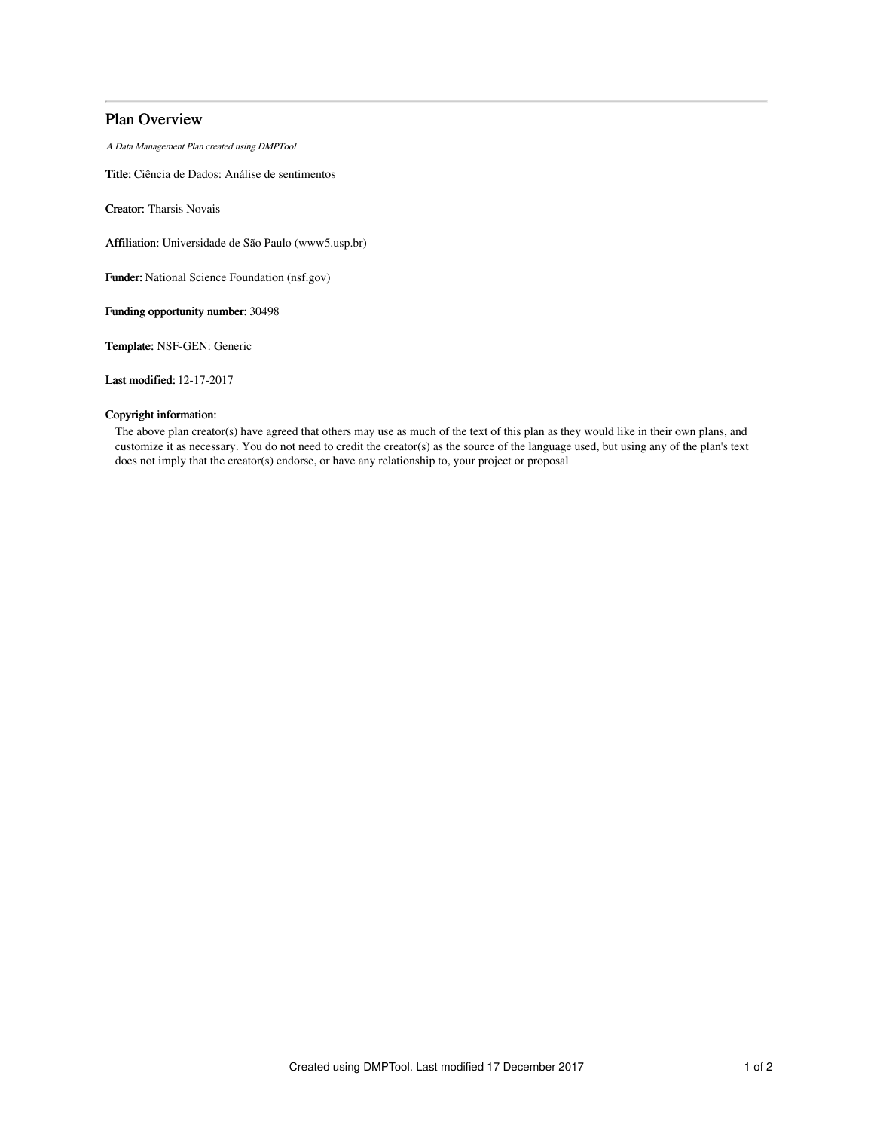# Plan Overview

A Data Management Plan created using DMPTool

Title: Ciência de Dados: Análise de sentimentos

Creator: Tharsis Novais

Affiliation: Universidade de São Paulo (www5.usp.br)

Funder: National Science Foundation (nsf.gov)

Funding opportunity number: 30498

Template: NSF-GEN: Generic

Last modified: 12-17-2017

## Copyright information:

The above plan creator(s) have agreed that others may use as much of the text of this plan as they would like in their own plans, and customize it as necessary. You do not need to credit the creator(s) as the source of the language used, but using any of the plan's text does not imply that the creator(s) endorse, or have any relationship to, your project or proposal